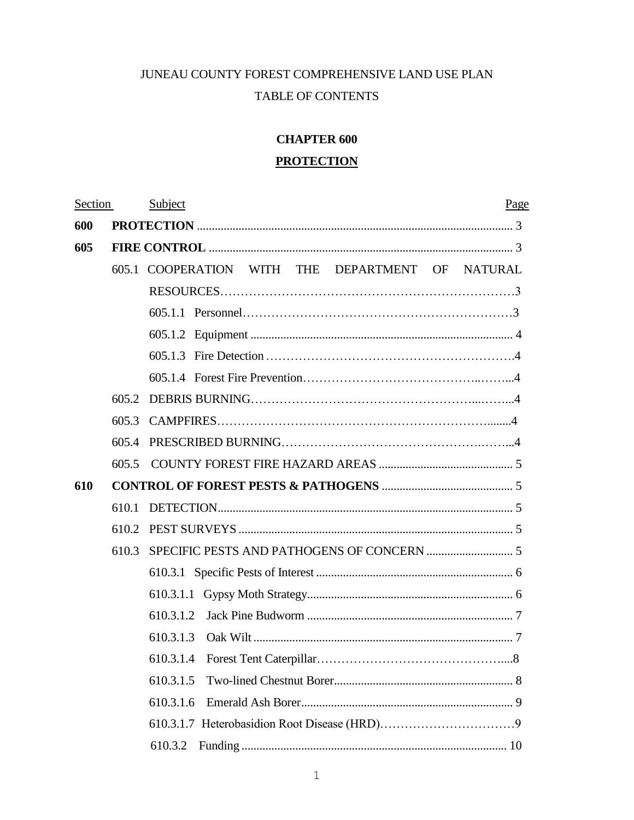## JUNEAU COUNTY FOREST COMPREHENSIVE LAND USE PLAN TABLE OF CONTENTS

# **CHAPTER 600**

## **PROTECTION**

| Section |       | Subject<br>Page                                               |  |
|---------|-------|---------------------------------------------------------------|--|
| 600     |       |                                                               |  |
| 605     |       |                                                               |  |
|         |       | WITH THE DEPARTMENT OF<br>605.1 COOPERATION<br><b>NATURAL</b> |  |
|         |       |                                                               |  |
|         |       |                                                               |  |
|         |       |                                                               |  |
|         |       |                                                               |  |
|         |       |                                                               |  |
|         | 605.2 |                                                               |  |
|         | 605.3 |                                                               |  |
|         | 605.4 |                                                               |  |
|         | 605.5 |                                                               |  |
| 610     |       |                                                               |  |
|         | 610.1 |                                                               |  |
|         | 610.2 |                                                               |  |
|         | 610.3 |                                                               |  |
|         |       |                                                               |  |
|         |       |                                                               |  |
|         |       | 610.3.1.2                                                     |  |
|         |       | 610.3.1.3                                                     |  |
|         |       |                                                               |  |
|         |       | 610.3.1.5                                                     |  |
|         |       | 610.3.1.6                                                     |  |
|         |       |                                                               |  |
|         |       | 610.3.2                                                       |  |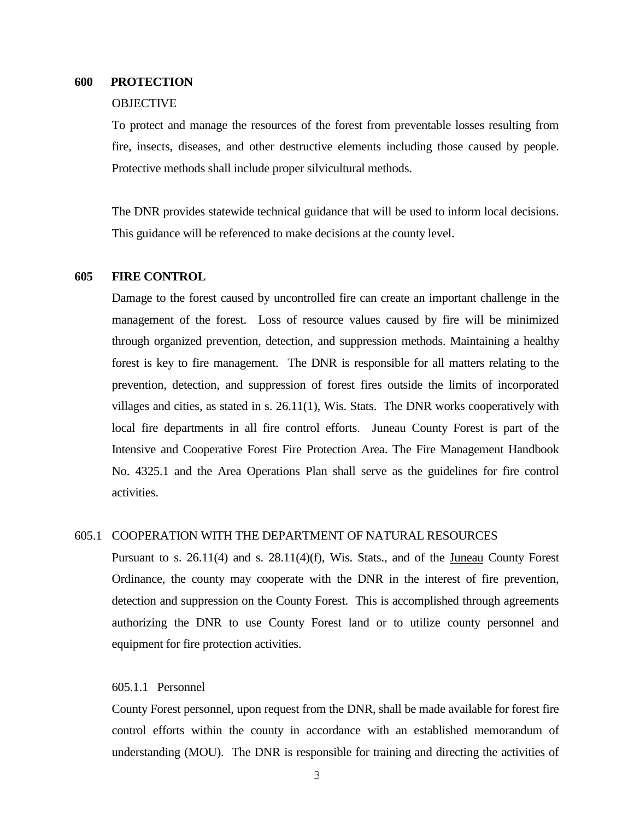## **600 PROTECTION**

## **OBJECTIVE**

To protect and manage the resources of the forest from preventable losses resulting from fire, insects, diseases, and other destructive elements including those caused by people. Protective methods shall include proper silvicultural methods.

The DNR provides statewide technical guidance that will be used to inform local decisions. This guidance will be referenced to make decisions at the county level.

## **605 FIRE CONTROL**

Damage to the forest caused by uncontrolled fire can create an important challenge in the management of the forest. Loss of resource values caused by fire will be minimized through organized prevention, detection, and suppression methods. Maintaining a healthy forest is key to fire management. The DNR is responsible for all matters relating to the prevention, detection, and suppression of forest fires outside the limits of incorporated villages and cities, as stated in s. 26.11(1), Wis. Stats. The DNR works cooperatively with local fire departments in all fire control efforts. Juneau County Forest is part of the Intensive and Cooperative Forest Fire Protection Area. The Fire Management Handbook No. 4325.1 and the Area Operations Plan shall serve as the guidelines for fire control activities.

## 605.1 COOPERATION WITH THE DEPARTMENT OF NATURAL RESOURCES

Pursuant to s. 26.11(4) and s. 28.11(4)(f), Wis. Stats., and of the Juneau County Forest Ordinance, the county may cooperate with the DNR in the interest of fire prevention, detection and suppression on the County Forest. This is accomplished through agreements authorizing the DNR to use County Forest land or to utilize county personnel and equipment for fire protection activities.

## 605.1.1 Personnel

County Forest personnel, upon request from the DNR, shall be made available for forest fire control efforts within the county in accordance with an established memorandum of understanding (MOU). The DNR is responsible for training and directing the activities of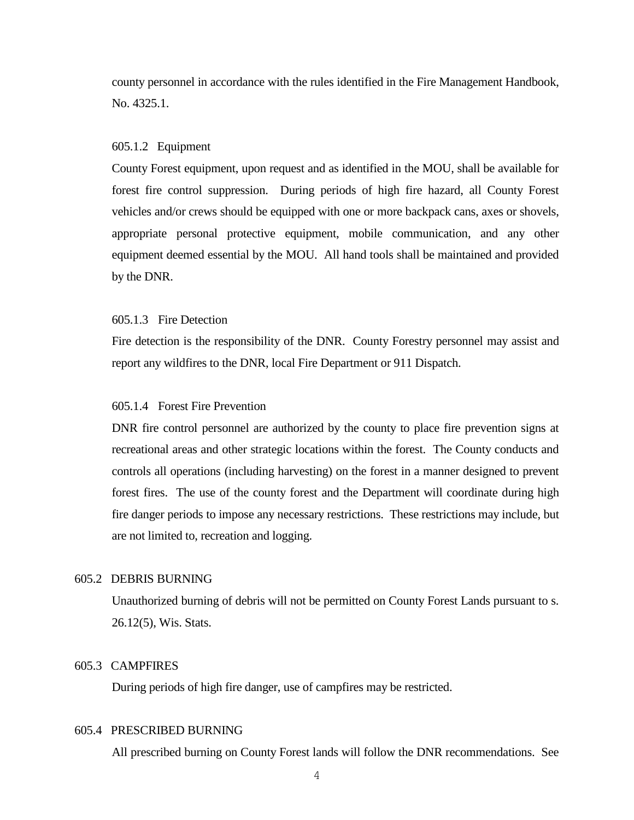county personnel in accordance with the rules identified in the Fire Management Handbook, No. 4325.1.

#### 605.1.2Equipment

County Forest equipment, upon request and as identified in the MOU, shall be available for forest fire control suppression. During periods of high fire hazard, all County Forest vehicles and/or crews should be equipped with one or more backpack cans, axes or shovels, appropriate personal protective equipment, mobile communication, and any other equipment deemed essential by the MOU. All hand tools shall be maintained and provided by the DNR.

## 605.1.3Fire Detection

Fire detection is the responsibility of the DNR. County Forestry personnel may assist and report any wildfires to the DNR, local Fire Department or 911 Dispatch.

## 605.1.4 Forest Fire Prevention

DNR fire control personnel are authorized by the county to place fire prevention signs at recreational areas and other strategic locations within the forest. The County conducts and controls all operations (including harvesting) on the forest in a manner designed to prevent forest fires. The use of the county forest and the Department will coordinate during high fire danger periods to impose any necessary restrictions. These restrictions may include, but are not limited to, recreation and logging.

## 605.2 DEBRIS BURNING

Unauthorized burning of debris will not be permitted on County Forest Lands pursuant to s. 26.12(5), Wis. Stats.

## 605.3CAMPFIRES

During periods of high fire danger, use of campfires may be restricted.

## 605.4PRESCRIBED BURNING

All prescribed burning on County Forest lands will follow the DNR recommendations. See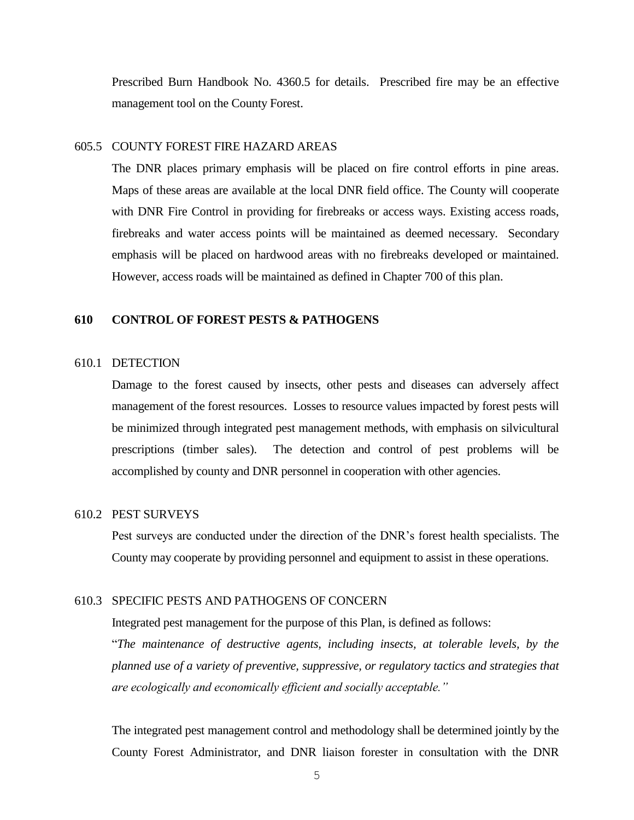Prescribed Burn Handbook No. 4360.5 for details. Prescribed fire may be an effective management tool on the County Forest.

## 605.5 COUNTY FOREST FIRE HAZARD AREAS

The DNR places primary emphasis will be placed on fire control efforts in pine areas. Maps of these areas are available at the local DNR field office. The County will cooperate with DNR Fire Control in providing for firebreaks or access ways. Existing access roads, firebreaks and water access points will be maintained as deemed necessary. Secondary emphasis will be placed on hardwood areas with no firebreaks developed or maintained. However, access roads will be maintained as defined in Chapter 700 of this plan.

## **610 CONTROL OF FOREST PESTS & PATHOGENS**

#### 610.1 DETECTION

Damage to the forest caused by insects, other pests and diseases can adversely affect management of the forest resources. Losses to resource values impacted by forest pests will be minimized through integrated pest management methods, with emphasis on silvicultural prescriptions (timber sales). The detection and control of pest problems will be accomplished by county and DNR personnel in cooperation with other agencies.

## 610.2 PEST SURVEYS

Pest surveys are conducted under the direction of the DNR's forest health specialists. The County may cooperate by providing personnel and equipment to assist in these operations.

## 610.3 SPECIFIC PESTS AND PATHOGENS OF CONCERN

Integrated pest management for the purpose of this Plan, is defined as follows:

"*The maintenance of destructive agents, including insects, at tolerable levels, by the planned use of a variety of preventive, suppressive, or regulatory tactics and strategies that are ecologically and economically efficient and socially acceptable."*

The integrated pest management control and methodology shall be determined jointly by the County Forest Administrator, and DNR liaison forester in consultation with the DNR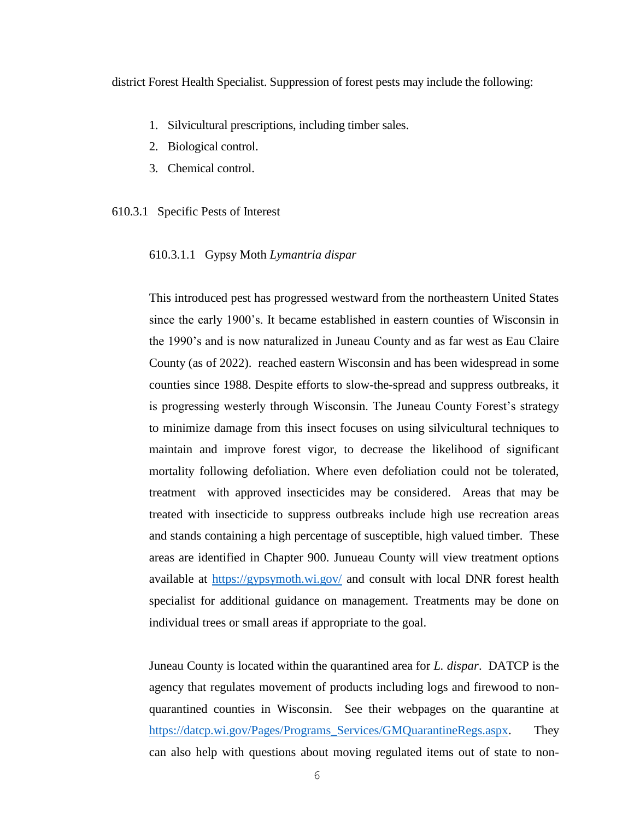district Forest Health Specialist. Suppression of forest pests may include the following:

- 1. Silvicultural prescriptions, including timber sales.
- 2. Biological control.
- 3. Chemical control.

## 610.3.1Specific Pests of Interest

610.3.1.1 Gypsy Moth *Lymantria dispar*

This introduced pest has progressed westward from the northeastern United States since the early 1900's. It became established in eastern counties of Wisconsin in the 1990's and is now naturalized in Juneau County and as far west as Eau Claire County (as of 2022). reached eastern Wisconsin and has been widespread in some counties since 1988. Despite efforts to slow-the-spread and suppress outbreaks, it is progressing westerly through Wisconsin. The Juneau County Forest's strategy to minimize damage from this insect focuses on using silvicultural techniques to maintain and improve forest vigor, to decrease the likelihood of significant mortality following defoliation. Where even defoliation could not be tolerated, treatment with approved insecticides may be considered. Areas that may be treated with insecticide to suppress outbreaks include high use recreation areas and stands containing a high percentage of susceptible, high valued timber. These areas are identified in Chapter 900. Junueau County will view treatment options available at<https://gypsymoth.wi.gov/> and consult with local DNR forest health specialist for additional guidance on management. Treatments may be done on individual trees or small areas if appropriate to the goal.

Juneau County is located within the quarantined area for *L. dispar*. DATCP is the agency that regulates movement of products including logs and firewood to nonquarantined counties in Wisconsin. See their webpages on the quarantine at [https://datcp.wi.gov/Pages/Programs\\_Services/GMQuarantineRegs.aspx.](https://datcp.wi.gov/Pages/Programs_Services/GMQuarantineRegs.aspx) They can also help with questions about moving regulated items out of state to non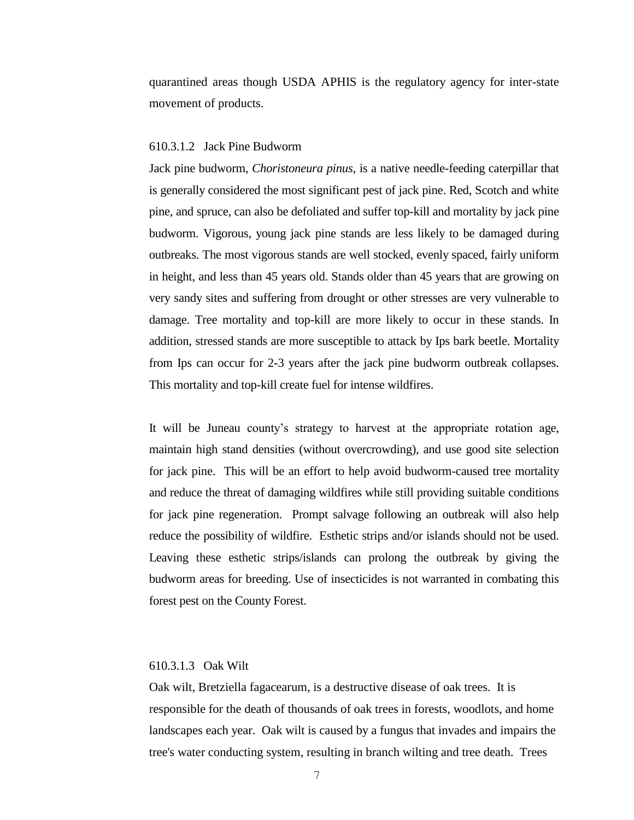quarantined areas though USDA APHIS is the regulatory agency for inter-state movement of products.

#### 610.3.1.2 Jack Pine Budworm

Jack pine budworm*, Choristoneura pinus,* is a native needle-feeding caterpillar that is generally considered the most significant pest of jack pine. Red, Scotch and white pine, and spruce, can also be defoliated and suffer top-kill and mortality by jack pine budworm. Vigorous, young jack pine stands are less likely to be damaged during outbreaks. The most vigorous stands are well stocked, evenly spaced, fairly uniform in height, and less than 45 years old. Stands older than 45 years that are growing on very sandy sites and suffering from drought or other stresses are very vulnerable to damage. Tree mortality and top-kill are more likely to occur in these stands. In addition, stressed stands are more susceptible to attack by Ips bark beetle. Mortality from Ips can occur for 2-3 years after the jack pine budworm outbreak collapses. This mortality and top-kill create fuel for intense wildfires.

It will be Juneau county's strategy to harvest at the appropriate rotation age, maintain high stand densities (without overcrowding), and use good site selection for jack pine. This will be an effort to help avoid budworm-caused tree mortality and reduce the threat of damaging wildfires while still providing suitable conditions for jack pine regeneration. Prompt salvage following an outbreak will also help reduce the possibility of wildfire. Esthetic strips and/or islands should not be used. Leaving these esthetic strips/islands can prolong the outbreak by giving the budworm areas for breeding. Use of insecticides is not warranted in combating this forest pest on the County Forest.

## 610.3.1.3 Oak Wilt

Oak wilt, Bretziella fagacearum, is a destructive disease of oak trees. It is responsible for the death of thousands of oak trees in forests, woodlots, and home landscapes each year. Oak wilt is caused by a fungus that invades and impairs the tree's water conducting system, resulting in branch wilting and tree death. Trees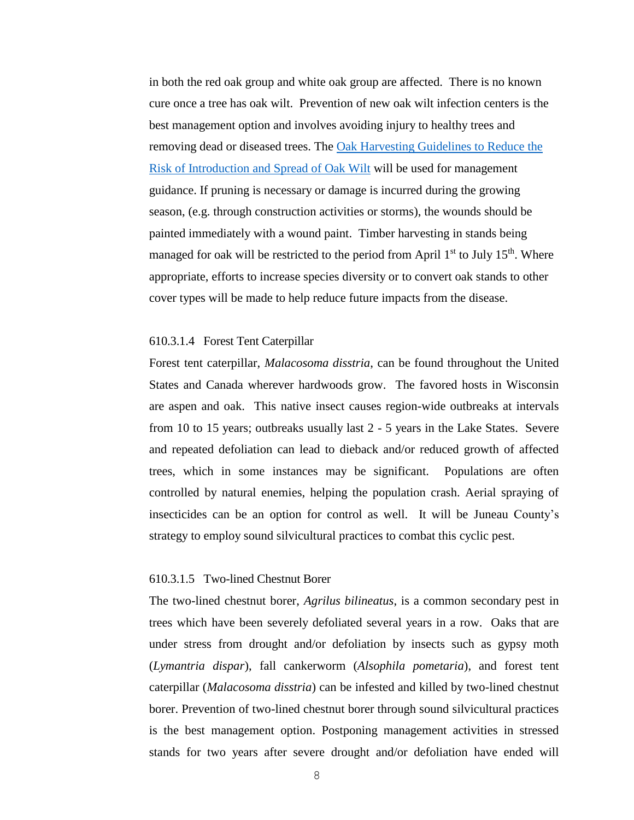in both the red oak group and white oak group are affected. There is no known cure once a tree has oak wilt. Prevention of new oak wilt infection centers is the best management option and involves avoiding injury to healthy trees and removing dead or diseased trees. The [Oak Harvesting Guidelines to Reduce the](https://embed.widencdn.net/pdf/download/widnr/aqszuho7ee/Oak-Harvesting-Guidelines-Web-version.pdf?u=lhzbht&showinbrowser=true)  [Risk of Introduction and Spread of Oak Wilt](https://embed.widencdn.net/pdf/download/widnr/aqszuho7ee/Oak-Harvesting-Guidelines-Web-version.pdf?u=lhzbht&showinbrowser=true) will be used for management guidance. If pruning is necessary or damage is incurred during the growing season, (e.g. through construction activities or storms), the wounds should be painted immediately with a wound paint. Timber harvesting in stands being managed for oak will be restricted to the period from April  $1<sup>st</sup>$  to July  $15<sup>th</sup>$ . Where appropriate, efforts to increase species diversity or to convert oak stands to other cover types will be made to help reduce future impacts from the disease.

## 610.3.1.4 Forest Tent Caterpillar

Forest tent caterpillar, *Malacosoma disstria*, can be found throughout the United States and Canada wherever hardwoods grow. The favored hosts in Wisconsin are aspen and oak. This native insect causes region-wide outbreaks at intervals from 10 to 15 years; outbreaks usually last 2 - 5 years in the Lake States. Severe and repeated defoliation can lead to dieback and/or reduced growth of affected trees, which in some instances may be significant. Populations are often controlled by natural enemies, helping the population crash. Aerial spraying of insecticides can be an option for control as well. It will be Juneau County's strategy to employ sound silvicultural practices to combat this cyclic pest.

#### 610.3.1.5 Two-lined Chestnut Borer

The two-lined chestnut borer, *Agrilus bilineatus*, is a common secondary pest in trees which have been severely defoliated several years in a row. Oaks that are under stress from drought and/or defoliation by insects such as gypsy moth (*Lymantria dispar*), fall cankerworm (*Alsophila pometaria*), and forest tent caterpillar (*Malacosoma disstria*) can be infested and killed by two-lined chestnut borer. Prevention of two-lined chestnut borer through sound silvicultural practices is the best management option. Postponing management activities in stressed stands for two years after severe drought and/or defoliation have ended will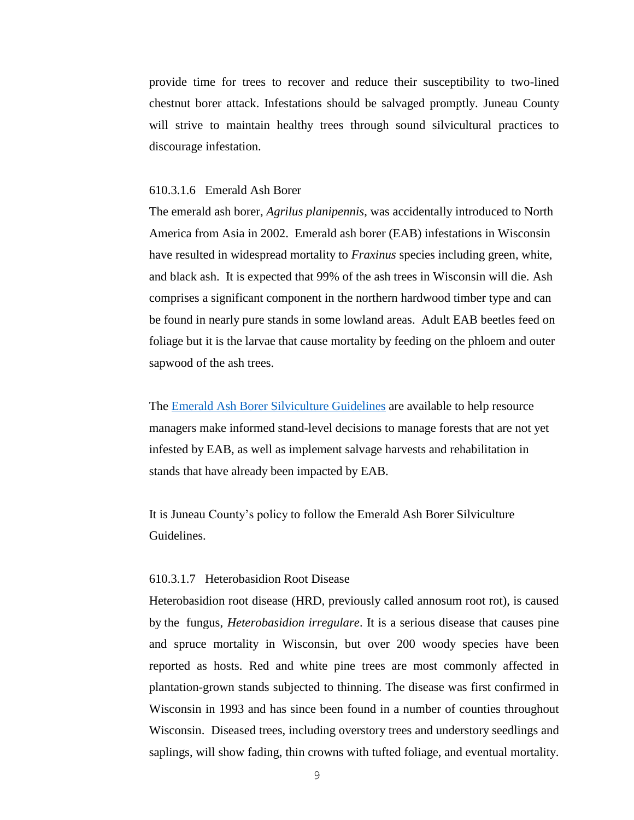provide time for trees to recover and reduce their susceptibility to two-lined chestnut borer attack. Infestations should be salvaged promptly. Juneau County will strive to maintain healthy trees through sound silvicultural practices to discourage infestation.

## 610.3.1.6 Emerald Ash Borer

The emerald ash borer, *Agrilus planipennis*, was accidentally introduced to North America from Asia in 2002. Emerald ash borer (EAB) infestations in Wisconsin have resulted in widespread mortality to *Fraxinus* species including green, white, and black ash. It is expected that 99% of the ash trees in Wisconsin will die. Ash comprises a significant component in the northern hardwood timber type and can be found in nearly pure stands in some lowland areas. Adult EAB beetles feed on foliage but it is the larvae that cause mortality by feeding on the phloem and outer sapwood of the ash trees.

The [Emerald Ash Borer Silviculture Guidelines](https://dnr.wi.gov/topic/ForestHealth/documents/EABWIManagementGuidelines.pdf) are available to help resource managers make informed stand-level decisions to manage forests that are not yet infested by EAB, as well as implement salvage harvests and rehabilitation in stands that have already been impacted by EAB.

It is Juneau County's policy to follow the Emerald Ash Borer Silviculture Guidelines.

#### 610.3.1.7 Heterobasidion Root Disease

Heterobasidion root disease (HRD, previously called annosum root rot), is caused by the fungus, *Heterobasidion irregulare*. It is a serious disease that causes pine and spruce mortality in Wisconsin, but over 200 woody species have been reported as hosts. Red and white pine trees are most commonly affected in plantation-grown stands subjected to thinning. The disease was first confirmed in Wisconsin in 1993 and has since been found in a number of counties throughout Wisconsin. Diseased trees, including overstory trees and understory seedlings and saplings, will show fading, thin crowns with tufted foliage, and eventual mortality.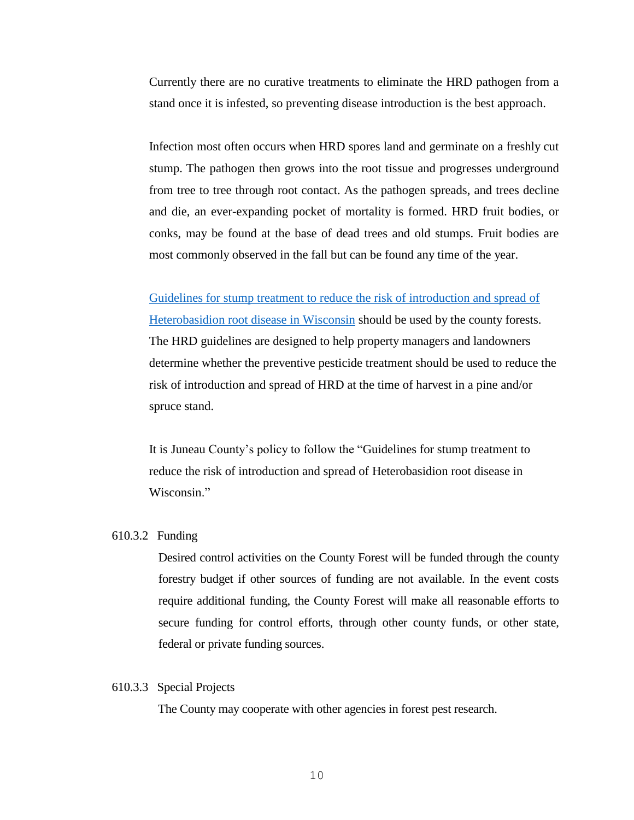Currently there are no curative treatments to eliminate the HRD pathogen from a stand once it is infested, so preventing disease introduction is the best approach.

Infection most often occurs when HRD spores land and germinate on a freshly cut stump. The pathogen then grows into the root tissue and progresses underground from tree to tree through root contact. As the pathogen spreads, and trees decline and die, an ever-expanding pocket of mortality is formed. HRD fruit bodies, or conks, may be found at the base of dead trees and old stumps. Fruit bodies are most commonly observed in the fall but can be found any time of the year.

[Guidelines for stump treatment to reduce the risk of introduction and spread of](https://embed.widencdn.net/pdf/download/widnr/049sbfkidg/AnnosumTreatmentGuide.pdf?u=4gqjgf&showinbrowser=true)  [Heterobasidion root disease in Wisconsin](https://embed.widencdn.net/pdf/download/widnr/049sbfkidg/AnnosumTreatmentGuide.pdf?u=4gqjgf&showinbrowser=true) should be used by the county forests. The HRD guidelines are designed to help property managers and landowners determine whether the preventive pesticide treatment should be used to reduce the risk of introduction and spread of HRD at the time of harvest in a pine and/or spruce stand.

It is Juneau County's policy to follow the "Guidelines for stump treatment to reduce the risk of introduction and spread of Heterobasidion root disease in Wisconsin."

## 610.3.2 Funding

Desired control activities on the County Forest will be funded through the county forestry budget if other sources of funding are not available. In the event costs require additional funding, the County Forest will make all reasonable efforts to secure funding for control efforts, through other county funds, or other state, federal or private funding sources.

#### 610.3.3 Special Projects

The County may cooperate with other agencies in forest pest research.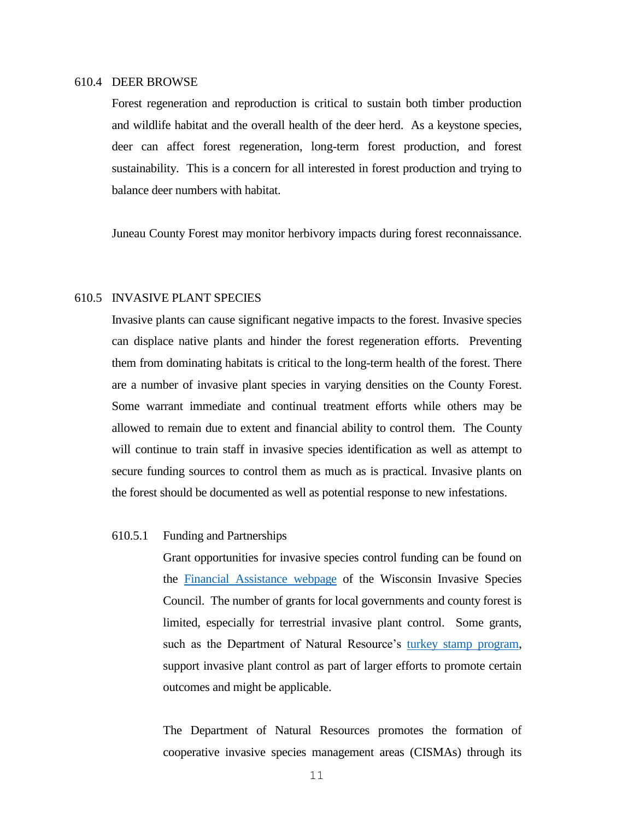#### 610.4 DEER BROWSE

Forest regeneration and reproduction is critical to sustain both timber production and wildlife habitat and the overall health of the deer herd. As a keystone species, deer can affect forest regeneration, long-term forest production, and forest sustainability. This is a concern for all interested in forest production and trying to balance deer numbers with habitat.

Juneau County Forest may monitor herbivory impacts during forest reconnaissance.

## 610.5 INVASIVE PLANT SPECIES

Invasive plants can cause significant negative impacts to the forest. Invasive species can displace native plants and hinder the forest regeneration efforts. Preventing them from dominating habitats is critical to the long-term health of the forest. There are a number of invasive plant species in varying densities on the County Forest. Some warrant immediate and continual treatment efforts while others may be allowed to remain due to extent and financial ability to control them. The County will continue to train staff in invasive species identification as well as attempt to secure funding sources to control them as much as is practical. Invasive plants on the forest should be documented as well as potential response to new infestations.

#### 610.5.1 Funding and Partnerships

Grant opportunities for invasive species control funding can be found on the [Financial Assistance webpage](http://invasivespecies.wi.gov/financial-assistance/) of the Wisconsin Invasive Species Council. The number of grants for local governments and county forest is limited, especially for terrestrial invasive plant control. Some grants, such as the Department of Natural Resource's [turkey stamp program,](https://dnr.wi.gov/topic/WildlifeHabitat/stamps.html) support invasive plant control as part of larger efforts to promote certain outcomes and might be applicable.

The Department of Natural Resources promotes the formation of cooperative invasive species management areas (CISMAs) through its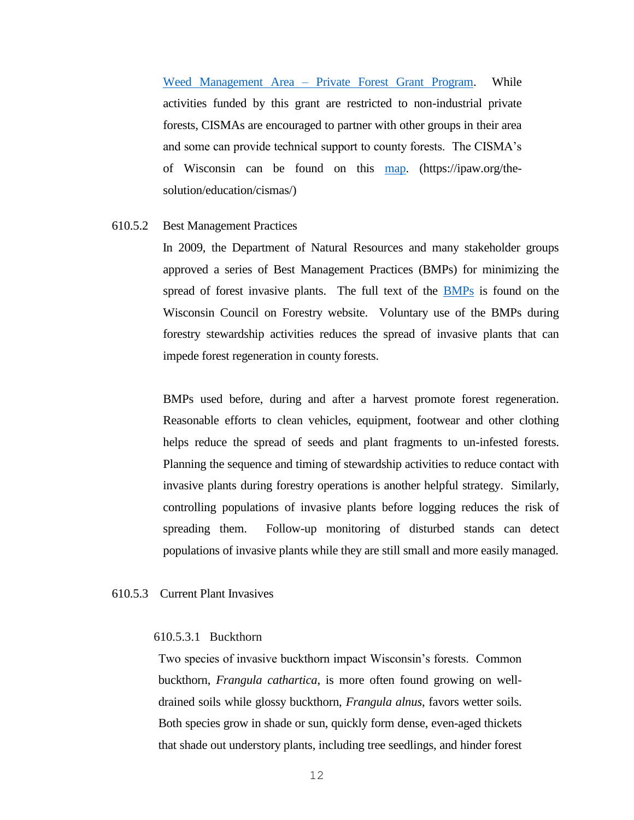Weed Management Area – [Private Forest Grant Program.](https://dnr.wi.gov/Aid/WMA.html) While activities funded by this grant are restricted to non-industrial private forests, CISMAs are encouraged to partner with other groups in their area and some can provide technical support to county forests. The CISMA's of Wisconsin can be found on this [map.](https://ipaw.org/quick-links/cismas/) (https://ipaw.org/thesolution/education/cismas/)

#### 610.5.2 Best Management Practices

 In 2009, the Department of Natural Resources and many stakeholder groups approved a series of Best Management Practices (BMPs) for minimizing the spread of forest invasive plants. The full text of the [BMPs](https://councilonforestry.wi.gov/Pages/InvasiveSpecies/Forestry.aspx) is found on the Wisconsin Council on Forestry website. Voluntary use of the BMPs during forestry stewardship activities reduces the spread of invasive plants that can impede forest regeneration in county forests.

BMPs used before, during and after a harvest promote forest regeneration. Reasonable efforts to clean vehicles, equipment, footwear and other clothing helps reduce the spread of seeds and plant fragments to un-infested forests. Planning the sequence and timing of stewardship activities to reduce contact with invasive plants during forestry operations is another helpful strategy. Similarly, controlling populations of invasive plants before logging reduces the risk of spreading them. Follow-up monitoring of disturbed stands can detect populations of invasive plants while they are still small and more easily managed.

## 610.5.3Current Plant Invasives

#### 610.5.3.1 Buckthorn

Two species of invasive buckthorn impact Wisconsin's forests. Common buckthorn, *Frangula cathartica*, is more often found growing on welldrained soils while glossy buckthorn, *Frangula alnus*, favors wetter soils. Both species grow in shade or sun, quickly form dense, even-aged thickets that shade out understory plants, including tree seedlings, and hinder forest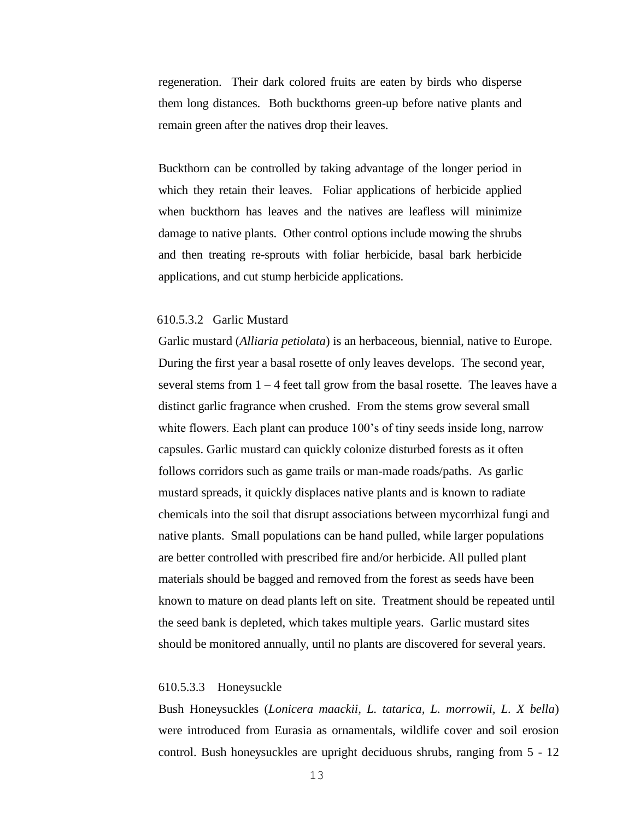regeneration. Their dark colored fruits are eaten by birds who disperse them long distances. Both buckthorns green-up before native plants and remain green after the natives drop their leaves.

Buckthorn can be controlled by taking advantage of the longer period in which they retain their leaves. Foliar applications of herbicide applied when buckthorn has leaves and the natives are leafless will minimize damage to native plants. Other control options include mowing the shrubs and then treating re-sprouts with foliar herbicide, basal bark herbicide applications, and cut stump herbicide applications.

### 610.5.3.2 Garlic Mustard

Garlic mustard (*Alliaria petiolata*) is an herbaceous, biennial, native to Europe. During the first year a basal rosette of only leaves develops. The second year, several stems from  $1 - 4$  feet tall grow from the basal rosette. The leaves have a distinct garlic fragrance when crushed. From the stems grow several small white flowers. Each plant can produce 100's of tiny seeds inside long, narrow capsules. Garlic mustard can quickly colonize disturbed forests as it often follows corridors such as game trails or man-made roads/paths. As garlic mustard spreads, it quickly displaces native plants and is known to radiate chemicals into the soil that disrupt associations between mycorrhizal fungi and native plants. Small populations can be hand pulled, while larger populations are better controlled with prescribed fire and/or herbicide. All pulled plant materials should be bagged and removed from the forest as seeds have been known to mature on dead plants left on site. Treatment should be repeated until the seed bank is depleted, which takes multiple years. Garlic mustard sites should be monitored annually, until no plants are discovered for several years.

#### 610.5.3.3 Honeysuckle

Bush Honeysuckles (*Lonicera maackii, L. tatarica, L. morrowii, L. X bella*) were introduced from Eurasia as ornamentals, wildlife cover and soil erosion control. Bush honeysuckles are upright deciduous shrubs, ranging from 5 - 12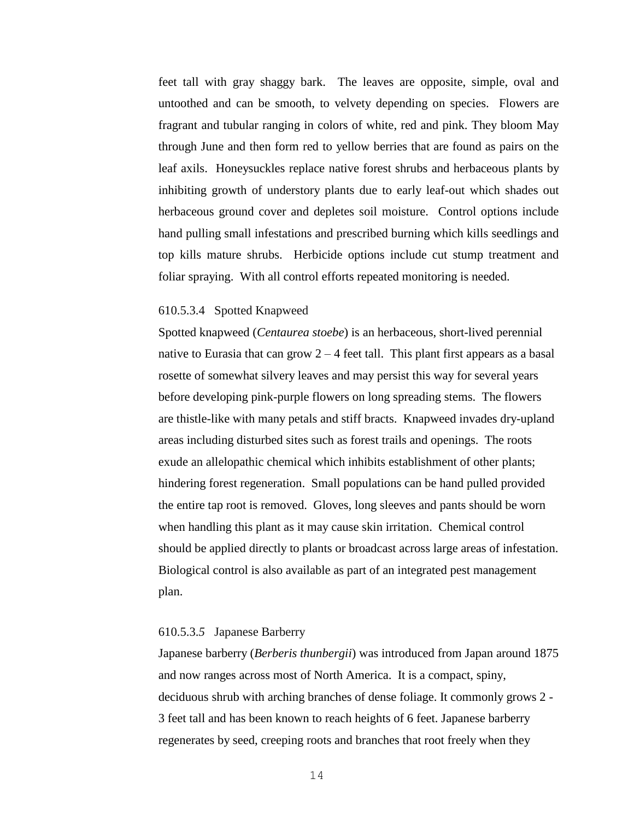feet tall with gray shaggy bark. The leaves are opposite, simple, oval and untoothed and can be smooth, to velvety depending on species. Flowers are fragrant and tubular ranging in colors of white, red and pink. They bloom May through June and then form red to yellow berries that are found as pairs on the leaf axils. Honeysuckles replace native forest shrubs and herbaceous plants by inhibiting growth of understory plants due to early leaf-out which shades out herbaceous ground cover and depletes soil moisture. Control options include hand pulling small infestations and prescribed burning which kills seedlings and top kills mature shrubs. Herbicide options include cut stump treatment and foliar spraying. With all control efforts repeated monitoring is needed.

#### 610.5.3.4 Spotted Knapweed

Spotted knapweed (*Centaurea stoebe*) is an herbaceous, short-lived perennial native to Eurasia that can grow  $2 - 4$  feet tall. This plant first appears as a basal rosette of somewhat silvery leaves and may persist this way for several years before developing pink-purple flowers on long spreading stems. The flowers are thistle-like with many petals and stiff bracts. Knapweed invades dry-upland areas including disturbed sites such as forest trails and openings. The roots exude an allelopathic chemical which inhibits establishment of other plants; hindering forest regeneration. Small populations can be hand pulled provided the entire tap root is removed. Gloves, long sleeves and pants should be worn when handling this plant as it may cause skin irritation. Chemical control should be applied directly to plants or broadcast across large areas of infestation. Biological control is also available as part of an integrated pest management plan.

## 610.5.3.*5* Japanese Barberry

Japanese barberry (*Berberis thunbergii*) was introduced from Japan around 1875 and now ranges across most of North America. It is a compact, spiny, deciduous shrub with arching branches of dense foliage. It commonly grows 2 - 3 feet tall and has been known to reach heights of 6 feet. Japanese barberry regenerates by seed, creeping roots and branches that root freely when they

14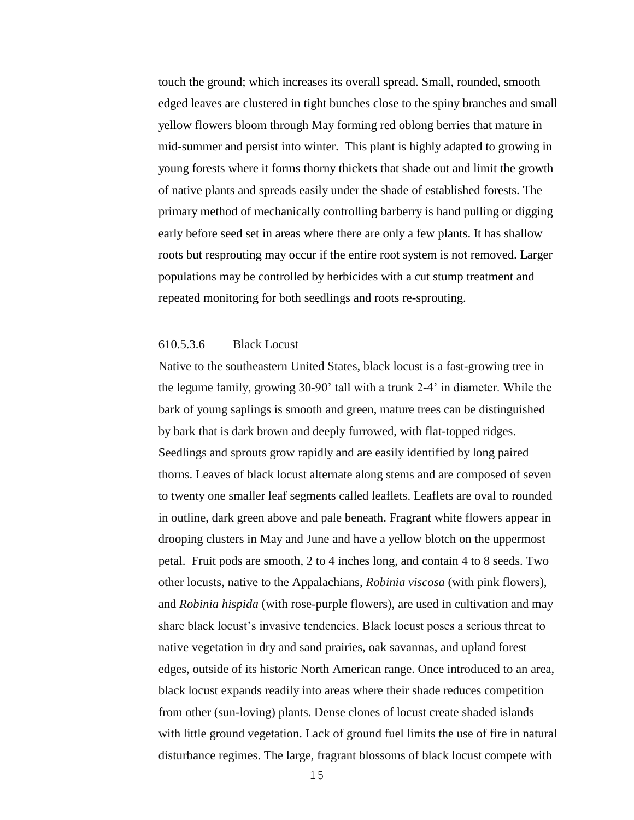touch the ground; which increases its overall spread. Small, rounded, smooth edged leaves are clustered in tight bunches close to the spiny branches and small yellow flowers bloom through May forming red oblong berries that mature in mid-summer and persist into winter. This plant is highly adapted to growing in young forests where it forms thorny thickets that shade out and limit the growth of native plants and spreads easily under the shade of established forests. The primary method of mechanically controlling barberry is hand pulling or digging early before seed set in areas where there are only a few plants. It has shallow roots but resprouting may occur if the entire root system is not removed. Larger populations may be controlled by herbicides with a cut stump treatment and repeated monitoring for both seedlings and roots re-sprouting.

## 610.5.3.6 Black Locust

Native to the southeastern United States, black locust is a fast-growing tree in the legume family, growing 30-90' tall with a trunk 2-4' in diameter. While the bark of young saplings is smooth and green, mature trees can be distinguished by bark that is dark brown and deeply furrowed, with flat-topped ridges. Seedlings and sprouts grow rapidly and are easily identified by long paired thorns. Leaves of black locust alternate along stems and are composed of seven to twenty one smaller leaf segments called leaflets. Leaflets are oval to rounded in outline, dark green above and pale beneath. Fragrant white flowers appear in drooping clusters in May and June and have a yellow blotch on the uppermost petal. Fruit pods are smooth, 2 to 4 inches long, and contain 4 to 8 seeds. Two other locusts, native to the Appalachians, *Robinia viscosa* (with pink flowers), and *Robinia hispida* (with rose-purple flowers), are used in cultivation and may share black locust's invasive tendencies. Black locust poses a serious threat to native vegetation in dry and sand prairies, oak savannas, and upland forest edges, outside of its historic North American range. Once introduced to an area, black locust expands readily into areas where their shade reduces competition from other (sun-loving) plants. Dense clones of locust create shaded islands with little ground vegetation. Lack of ground fuel limits the use of fire in natural disturbance regimes. The large, fragrant blossoms of black locust compete with